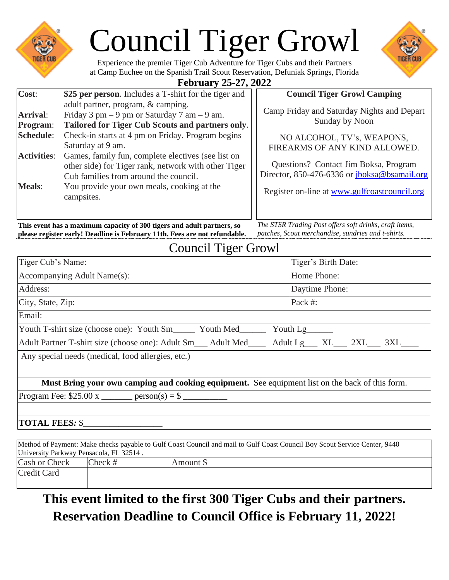|                                                                                 | <b>Council Tiger Growl</b><br>Experience the premier Tiger Cub Adventure for Tiger Cubs and their Partners<br>at Camp Euchee on the Spanish Trail Scout Reservation, Defuniak Springs, Florida<br><b>February 25-27, 2022</b>                                                                                                                                                                                                        |                                                                                                                                                                                                                                                                      |
|---------------------------------------------------------------------------------|--------------------------------------------------------------------------------------------------------------------------------------------------------------------------------------------------------------------------------------------------------------------------------------------------------------------------------------------------------------------------------------------------------------------------------------|----------------------------------------------------------------------------------------------------------------------------------------------------------------------------------------------------------------------------------------------------------------------|
| Cost:                                                                           | \$25 per person. Includes a T-shirt for the tiger and                                                                                                                                                                                                                                                                                                                                                                                | <b>Council Tiger Growl Camping</b>                                                                                                                                                                                                                                   |
| <b>Arrival:</b><br>Program:<br><b>Schedule:</b><br><b>Activities:</b><br>Meals: | adult partner, program, & camping.<br>Friday 3 pm $-9$ pm or Saturday 7 am $-9$ am.<br>Tailored for Tiger Cub Scouts and partners only.<br>Check-in starts at 4 pm on Friday. Program begins<br>Saturday at 9 am.<br>Games, family fun, complete electives (see list on<br>other side) for Tiger rank, network with other Tiger<br>Cub families from around the council.<br>You provide your own meals, cooking at the<br>campsites. | Camp Friday and Saturday Nights and Depart<br>Sunday by Noon<br>NO ALCOHOL, TV's, WEAPONS,<br>FIREARMS OF ANY KIND ALLOWED.<br>Questions? Contact Jim Boksa, Program<br>Director, 850-476-6336 or jboksa@bsamail.org<br>Register on-line at www.gulfcoastcouncil.org |

**This event has a maximum capacity of 300 tigers and adult partners, so please register early! Deadline is February 11th. Fees are not refundable.**

*The STSR Trading Post offers soft drinks, craft items, patches, Scout merchandise, sundries and t-shirts.*

## Council Tiger Growl

| Tiger Cub's Name:                                                                                                           | Tiger's Birth Date:             |  |
|-----------------------------------------------------------------------------------------------------------------------------|---------------------------------|--|
| Accompanying Adult Name(s):                                                                                                 | Home Phone:                     |  |
| Address:                                                                                                                    | Daytime Phone:                  |  |
| City, State, Zip:                                                                                                           | Pack #:                         |  |
| Email:                                                                                                                      |                                 |  |
| Youth T-shirt size (choose one): Youth Sm_______ Youth Med_______                                                           | Youth Lg_______                 |  |
| Adult Partner T-shirt size (choose one): Adult Sm___ Adult Med____                                                          | Adult Lg___ XL___ 2XL___ 3XL___ |  |
| Any special needs (medical, food allergies, etc.)                                                                           |                                 |  |
| Must Bring your own camping and cooking equipment. See equipment list on the back of this form.                             |                                 |  |
| Program Fee: $$25.00 \text{ x }$ ________ person(s) = \$ ______                                                             |                                 |  |
|                                                                                                                             |                                 |  |
| <b>TOTAL FEES: \$</b>                                                                                                       |                                 |  |
| Mathod of Downanty Make sheaks novable to Cult Coast Council and moil to Cult Coast Council Day Rogert Service Contage 0440 |                                 |  |

| Method of Payment: Make checks payable to Gulf Coast Council and mail to Gulf Coast Council Boy Scout Service Center, 9440 |            |           |  |  |
|----------------------------------------------------------------------------------------------------------------------------|------------|-----------|--|--|
| University Parkway Pensacola, FL 32514.                                                                                    |            |           |  |  |
| Cash or Check                                                                                                              | $Check \#$ | Amount \$ |  |  |
| Credit Card                                                                                                                |            |           |  |  |
|                                                                                                                            |            |           |  |  |

# **This event limited to the first 300 Tiger Cubs and their partners. Reservation Deadline to Council Office is February 11, 2022!**